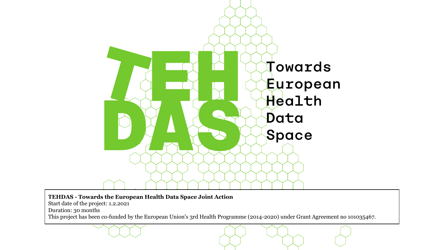

#### **TEHDAS - Towards the European Health Data Space Joint Action**

Start date of the project: 1.2.2021

Duration: 30 months

This project has been co-funded by the European Union's 3rd Health Programme (2014-2020) under Grant Agreement no 101035467.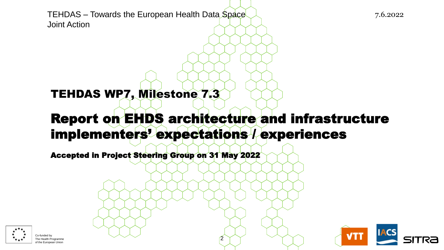TEHDAS – Towards the European Health Data Space 11 11 11 11 11 11 11 11 11 11 12 16.2022 Joint Action

## TEHDAS WP7, Milestone 7.3

## Report on EHDS architecture and infrastructure implementers' expectations / experiences

2

Accepted in Project Steering Group on 31 May 2022



of the European Union

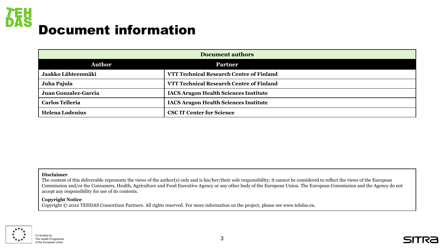

| <b>Document authors</b> |                                              |
|-------------------------|----------------------------------------------|
| <b>Author</b>           | <b>Partner</b>                               |
| Jaakko Lähteenmäki      | VTT Technical Research Centre of Finland     |
| Juha Pajula             | VTT Technical Research Centre of Finland     |
| Juan Gonzalez-Garcia    | <b>IACS Aragon Health Sciences Institute</b> |
| <b>Carlos Telleria</b>  | <b>IACS Aragon Health Sciences Institute</b> |
| <b>Helena Lodenius</b>  | <b>CSC IT Center for Science</b>             |

#### **Disclaimer**

The content of this deliverable represents the views of the author(s) only and is his/her/their sole responsibility; it cannot be considered to reflect the views of the European Commission and/or the Consumers, Health, Agriculture and Food Executive Agency or any other body of the European Union. The European Commission and the Agency do not accept any responsibility for use of its contents.

#### **Copyright Notice**

Copyright © 2022 TEHDAS Consortium Partners. All rights reserved. For more information on the project, please see www.tehdas.eu.

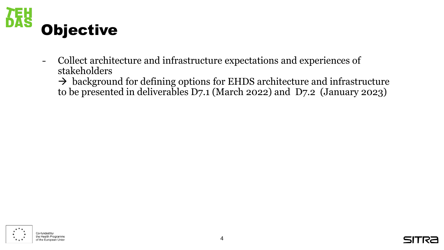

- Collect architecture and infrastructure expectations and experiences of stakeholders

 $\rightarrow$  background for defining options for EHDS architecture and infrastructure to be presented in deliverables D7.1 (March 2022) and D7.2 (January 2023)



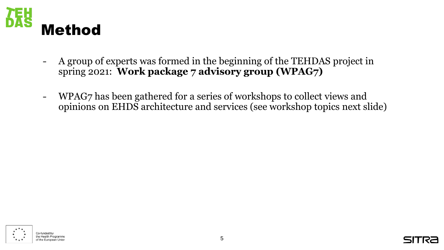

- A group of experts was formed in the beginning of the TEHDAS project in spring 2021: **Work package 7 advisory group (WPAG7)**
- WPAG7 has been gathered for a series of workshops to collect views and opinions on EHDS architecture and services (see workshop topics next slide)



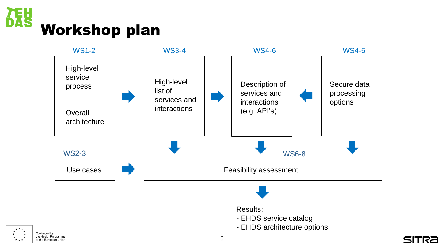





#### Results:

- EHDS service catalog
- EHDS architecture options



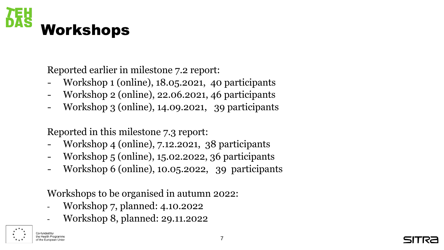

Reported earlier in milestone 7.2 report:

- Workshop 1 (online), 18.05.2021, 40 participants
- Workshop 2 (online), 22.06.2021, 46 participants
- Workshop 3 (online), 14.09.2021, 39 participants

Reported in this milestone 7.3 report:

- Workshop 4 (online), 7.12.2021, 38 participants
- Workshop 5 (online), 15.02.2022, 36 participants
- Workshop 6 (online), 10.05.2022, 39 participants

Workshops to be organised in autumn 2022:

- Workshop 7, planned: 4.10.2022
- Workshop 8, planned: 29.11.2022



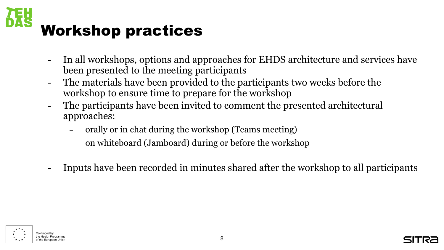

- In all workshops, options and approaches for EHDS architecture and services have been presented to the meeting participants
- The materials have been provided to the participants two weeks before the workshop to ensure time to prepare for the workshop
- The participants have been invited to comment the presented architectural approaches:
	- orally or in chat during the workshop (Teams meeting)
	- on whiteboard (Jamboard) during or before the workshop
- Inputs have been recorded in minutes shared after the workshop to all participants



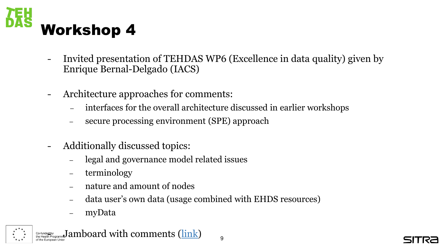

- Invited presentation of TEHDAS WP6 (Excellence in data quality) given by Enrique Bernal-Delgado (IACS)
- Architecture approaches for comments:
	- interfaces for the overall architecture discussed in earlier workshops
	- secure processing environment (SPE) approach
- Additionally discussed topics:
	- legal and governance model related issues
	- terminology
	- nature and amount of nodes
	- data user's own data (usage combined with EHDS resources)
	- myData



Co-funded by annotal by an allocard with comments [\(link\)](https://jamboard.google.com/d/1Zt8PfmMnI0LDUXotMf0zftJDrk4k7Y_G3CrUQtc4U_g/viewer?f=0)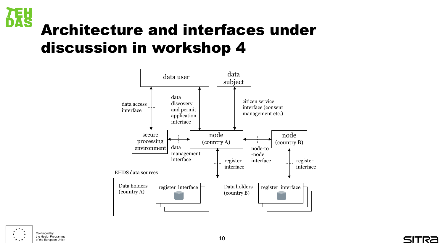

# Architecture and interfaces under discussion in workshop 4





Co-funded by the Health Programme of the European Union

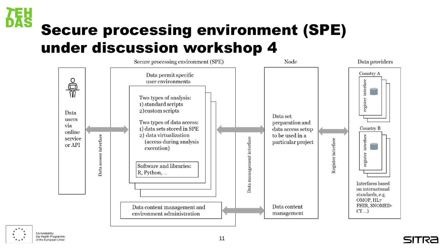

# Secure processing environment (SPE) under discussion workshop 4



Co-funded by the Health Programme of the European Union

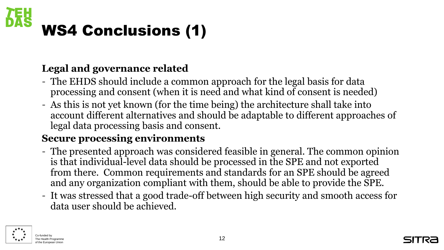

### **Legal and governance related**

- The EHDS should include a common approach for the legal basis for data processing and consent (when it is need and what kind of consent is needed)
- As this is not yet known (for the time being) the architecture shall take into account different alternatives and should be adaptable to different approaches of legal data processing basis and consent.

#### **Secure processing environments**

- The presented approach was considered feasible in general. The common opinion is that individual-level data should be processed in the SPE and not exported from there. Common requirements and standards for an SPE should be agreed and any organization compliant with them, should be able to provide the SPE.
- It was stressed that a good trade-off between high security and smooth access for data user should be achieved.



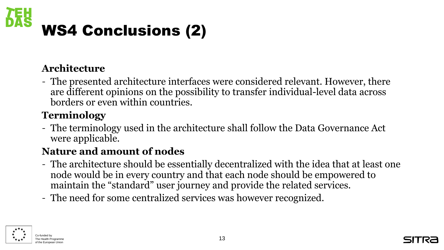

#### **Architecture**

- The presented architecture interfaces were considered relevant. However, there are different opinions on the possibility to transfer individual-level data across borders or even within countries.

## **Terminology**

- The terminology used in the architecture shall follow the Data Governance Act were applicable.

## **Nature and amount of nodes**

- The architecture should be essentially decentralized with the idea that at least one node would be in every country and that each node should be empowered to maintain the "standard" user journey and provide the related services.
- The need for some centralized services was however recognized.



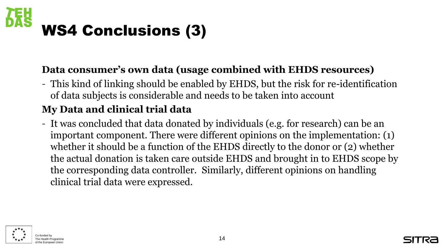

#### **Data consumer's own data (usage combined with EHDS resources)**

- This kind of linking should be enabled by EHDS, but the risk for re-identification of data subjects is considerable and needs to be taken into account

## **My Data and clinical trial data**

- It was concluded that data donated by individuals (e.g. for research) can be an important component. There were different opinions on the implementation: (1) whether it should be a function of the EHDS directly to the donor or (2) whether the actual donation is taken care outside EHDS and brought in to EHDS scope by the corresponding data controller. Similarly, different opinions on handling clinical trial data were expressed.



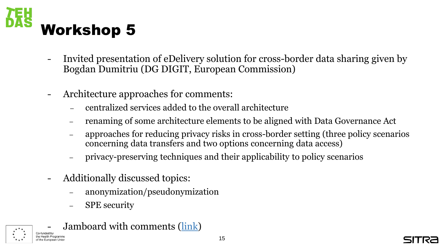

- Invited presentation of eDelivery solution for cross-border data sharing given by Bogdan Dumitriu (DG DIGIT, European Commission)
- Architecture approaches for comments:
	- centralized services added to the overall architecture
	- renaming of some architecture elements to be aligned with Data Governance Act
	- approaches for reducing privacy risks in cross-border setting (three policy scenarios concerning data transfers and two options concerning data access)
	- privacy-preserving techniques and their applicability to policy scenarios
- Additionally discussed topics:
	- anonymization/pseudonymization
	- SPE security
- Jamboard with comments [\(link\)](https://jamboard.google.com/d/1ONd2-4pwkfDSn3O5tv_Ib-xGs6ED9RhEur3uLYDDM50/viewer?f=0)



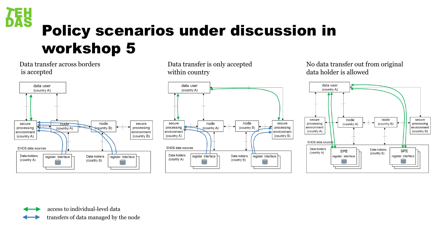

# Policy scenarios under discussion in workshop 5

#### Data transfer across borders is accepted



Data transfer is only accepted within country



No data transfer out from original data holder is allowed



access to individual-level data

transfers of data managed by the node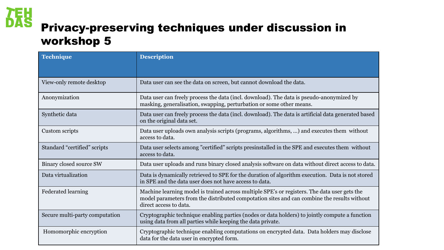

## Privacy-preserving techniques under discussion in workshop 5

| <b>Technique</b>               | <b>Description</b>                                                                                                                                                                                                    |
|--------------------------------|-----------------------------------------------------------------------------------------------------------------------------------------------------------------------------------------------------------------------|
|                                |                                                                                                                                                                                                                       |
| View-only remote desktop       | Data user can see the data on screen, but cannot download the data.                                                                                                                                                   |
| Anonymization                  | Data user can freely process the data (incl. download). The data is pseudo-anonymized by<br>masking, generalisation, swapping, perturbation or some other means.                                                      |
| Synthetic data                 | Data user can freely process the data (incl. download). The data is artificial data generated based<br>on the original data set.                                                                                      |
| Custom scripts                 | Data user uploads own analysis scripts (programs, algorithms, ) and executes them without<br>access to data.                                                                                                          |
| Standard "certified" scripts   | Data user selects among "certified" scripts presinstalled in the SPE and executes them without<br>access to data.                                                                                                     |
| Binary closed source SW        | Data user uploads and runs binary closed analysis software on data without direct access to data.                                                                                                                     |
| Data virtualization            | Data is dynamically retrieved to SPE for the duration of algorithm execution. Data is not stored<br>in SPE and the data user does not have access to data.                                                            |
| <b>Federated learning</b>      | Machine learning model is trained across multiple SPE's or registers. The data user gets the<br>model parameters from the distributed compotation sites and can combine the results without<br>direct access to data. |
| Secure multi-party computation | Cryptographic technique enabling parties (nodes or data holders) to jointly compute a function<br>using data from all parties while keeping the data private.                                                         |
| Homomorphic encryption         | Cryptographic technique enabling computations on encrypted data. Data holders may disclose<br>data for the data user in encrypted form.                                                                               |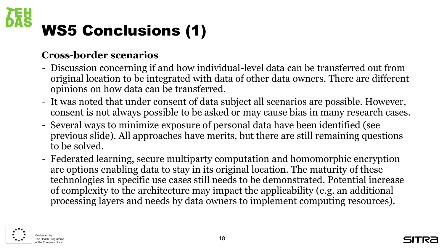# WS5 Conclusions (1)

#### **Cross-border scenarios**

- Discussion concerning if and how individual-level data can be transferred out from original location to be integrated with data of other data owners. There are different opinions on how data can be transferred.
- It was noted that under consent of data subject all scenarios are possible. However, consent is not always possible to be asked or may cause bias in many research cases.
- Several ways to minimize exposure of personal data have been identified (see previous slide). All approaches have merits, but there are still remaining questions to be solved.
- Federated learning, secure multiparty computation and homomorphic encryption are options enabling data to stay in its original location. The maturity of these technologies in specific use cases still needs to be demonstrated. Potential increase of complexity to the architecture may impact the applicability (e.g. an additional processing layers and needs by data owners to implement computing resources).



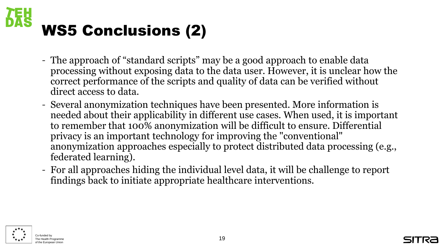

- The approach of "standard scripts" may be a good approach to enable data processing without exposing data to the data user. However, it is unclear how the correct performance of the scripts and quality of data can be verified without direct access to data.
- Several anonymization techniques have been presented. More information is needed about their applicability in different use cases. When used, it is important to remember that 100% anonymization will be difficult to ensure. Differential privacy is an important technology for improving the "conventional" anonymization approaches especially to protect distributed data processing (e.g., federated learning).
- For all approaches hiding the individual level data, it will be challenge to report findings back to initiate appropriate healthcare interventions.



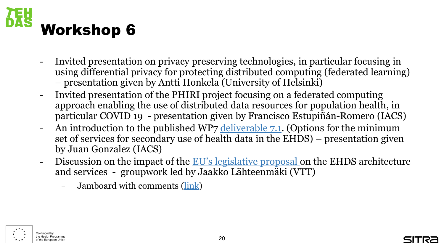

- Invited presentation on privacy preserving technologies, in particular focusing in using differential privacy for protecting distributed computing (federated learning) – presentation given by Antti Honkela (University of Helsinki)
- Invited presentation of the PHIRI project focusing on a federated computing approach enabling the use of distributed data resources for population health, in particular COVID 19 - presentation given by Francisco Estupiñán-Romero (IACS)
- An introduction to the published WP7 [deliverable 7.1.](https://tehdas.eu/results/tehdas-suggests-minimum-technical-services-for-the-european-health-data-space/) (Options for the minimum set of services for secondary use of health data in the EHDS) – presentation given by Juan Gonzalez (IACS)
- Discussion on the impact of the [EU's legislative proposal](https://ec.europa.eu/health/publications/proposal-regulation-european-health-data-space_en) on the EHDS architecture and services - groupwork led by Jaakko Lähteenmäki (VTT)
	- Jamboard with comments [\(link\)](https://jamboard.google.com/d/1WZCQbJRO5rug6EMi4W6ODjje_RXN1TOzwbIMTA1E8TI/edit?usp=sharing)





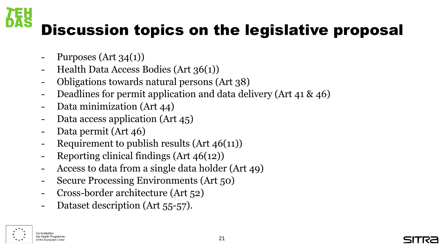# Discussion topics on the legislative proposal

- Purposes  $(Art 34(1))$
- Health Data Access Bodies (Art 36(1))
- Obligations towards natural persons (Art 38)
- Deadlines for permit application and data delivery (Art 41 & 46)
- Data minimization (Art 44)
- Data access application (Art 45)
- Data permit (Art 46)
- Requirement to publish results  $(Art 46(11))$
- Reporting clinical findings  $(Art 46(12))$
- Access to data from a single data holder (Art 49)
- Secure Processing Environments (Art 50)
- Cross-border architecture (Art 52)
- Dataset description (Art 55-57).

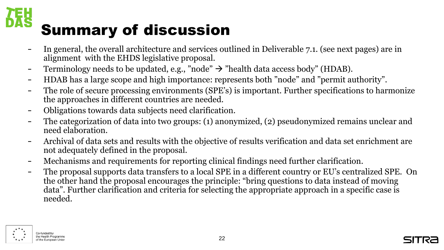# Summary of discussion

- In general, the overall architecture and services outlined in Deliverable 7.1. (see next pages) are in alignment with the EHDS legislative proposal.
- Terminology needs to be updated, e.g., "node"  $\rightarrow$  "health data access body" (HDAB).
- HDAB has a large scope and high importance: represents both "node" and "permit authority".
- The role of secure processing environments (SPE's) is important. Further specifications to harmonize the approaches in different countries are needed.
- Obligations towards data subjects need clarification.
- The categorization of data into two groups: (1) anonymized, (2) pseudonymized remains unclear and need elaboration.
- Archival of data sets and results with the objective of results verification and data set enrichment are not adequately defined in the proposal.
- Mechanisms and requirements for reporting clinical findings need further clarification.
- The proposal supports data transfers to a local SPE in a different country or EU's centralized SPE. On the other hand the proposal encourages the principle: "bring questions to data instead of moving data". Further clarification and criteria for selecting the appropriate approach in a specific case is needed.



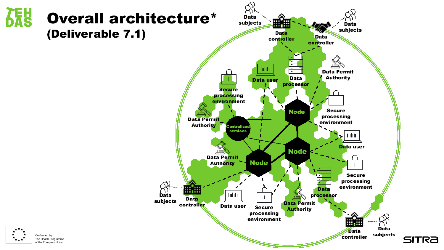

 $\star$ 

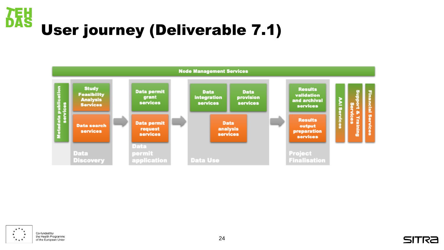## **SAS** User journey (Deliverable 7.1)





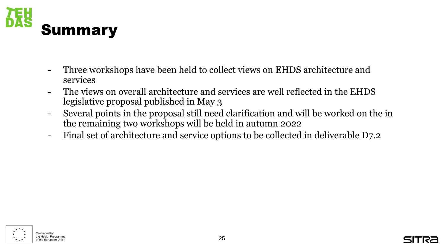

- Three workshops have been held to collect views on EHDS architecture and services
- The views on overall architecture and services are well reflected in the EHDS legislative proposal published in May 3
- Several points in the proposal still need clarification and will be worked on the in the remaining two workshops will be held in autumn 2022
- Final set of architecture and service options to be collected in deliverable D7.2